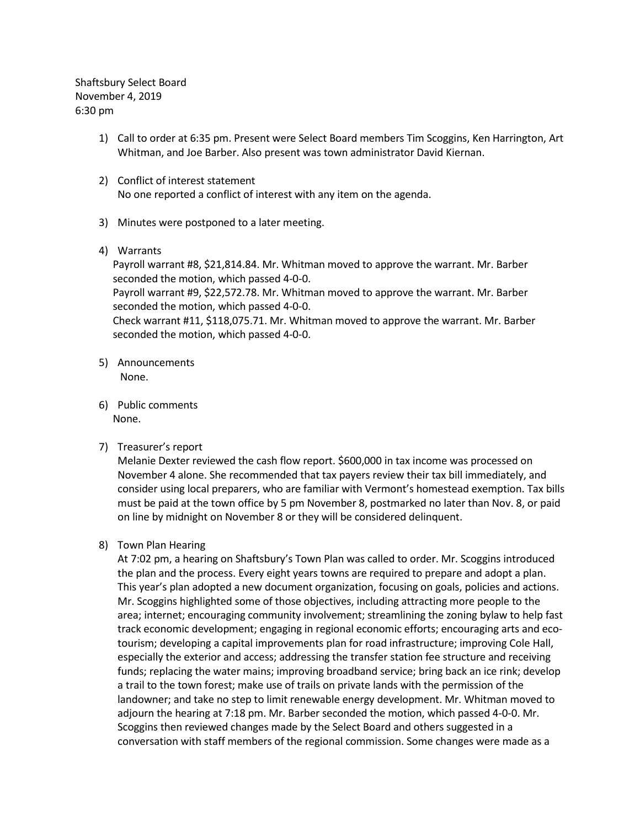Shaftsbury Select Board November 4, 2019 6:30 pm

- 1) Call to order at 6:35 pm. Present were Select Board members Tim Scoggins, Ken Harrington, Art Whitman, and Joe Barber. Also present was town administrator David Kiernan.
- 2) Conflict of interest statement No one reported a conflict of interest with any item on the agenda.
- 3) Minutes were postponed to a later meeting.
- 4) Warrants

Payroll warrant #8, \$21,814.84. Mr. Whitman moved to approve the warrant. Mr. Barber seconded the motion, which passed 4-0-0. Payroll warrant #9, \$22,572.78. Mr. Whitman moved to approve the warrant. Mr. Barber seconded the motion, which passed 4-0-0. Check warrant #11, \$118,075.71. Mr. Whitman moved to approve the warrant. Mr. Barber seconded the motion, which passed 4-0-0.

- 5) Announcements None.
- 6) Public comments None.
- 7) Treasurer's report

Melanie Dexter reviewed the cash flow report. \$600,000 in tax income was processed on November 4 alone. She recommended that tax payers review their tax bill immediately, and consider using local preparers, who are familiar with Vermont's homestead exemption. Tax bills must be paid at the town office by 5 pm November 8, postmarked no later than Nov. 8, or paid on line by midnight on November 8 or they will be considered delinquent.

# 8) Town Plan Hearing

At 7:02 pm, a hearing on Shaftsbury's Town Plan was called to order. Mr. Scoggins introduced the plan and the process. Every eight years towns are required to prepare and adopt a plan. This year's plan adopted a new document organization, focusing on goals, policies and actions. Mr. Scoggins highlighted some of those objectives, including attracting more people to the area; internet; encouraging community involvement; streamlining the zoning bylaw to help fast track economic development; engaging in regional economic efforts; encouraging arts and ecotourism; developing a capital improvements plan for road infrastructure; improving Cole Hall, especially the exterior and access; addressing the transfer station fee structure and receiving funds; replacing the water mains; improving broadband service; bring back an ice rink; develop a trail to the town forest; make use of trails on private lands with the permission of the landowner; and take no step to limit renewable energy development. Mr. Whitman moved to adjourn the hearing at 7:18 pm. Mr. Barber seconded the motion, which passed 4-0-0. Mr. Scoggins then reviewed changes made by the Select Board and others suggested in a conversation with staff members of the regional commission. Some changes were made as a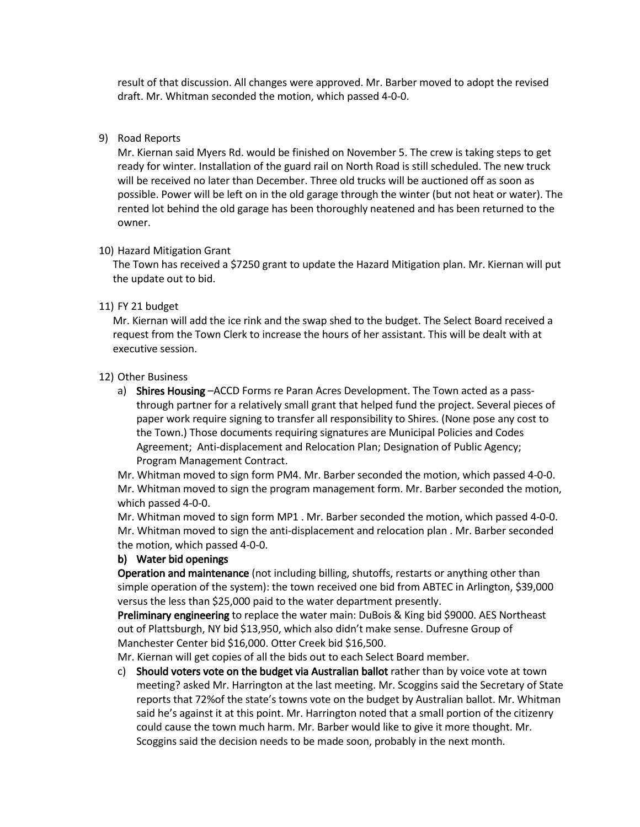result of that discussion. All changes were approved. Mr. Barber moved to adopt the revised draft. Mr. Whitman seconded the motion, which passed 4-0-0.

## 9) Road Reports

Mr. Kiernan said Myers Rd. would be finished on November 5. The crew is taking steps to get ready for winter. Installation of the guard rail on North Road is still scheduled. The new truck will be received no later than December. Three old trucks will be auctioned off as soon as possible. Power will be left on in the old garage through the winter (but not heat or water). The rented lot behind the old garage has been thoroughly neatened and has been returned to the owner.

## 10) Hazard Mitigation Grant

The Town has received a \$7250 grant to update the Hazard Mitigation plan. Mr. Kiernan will put the update out to bid.

## 11) FY 21 budget

Mr. Kiernan will add the ice rink and the swap shed to the budget. The Select Board received a request from the Town Clerk to increase the hours of her assistant. This will be dealt with at executive session.

## 12) Other Business

a) Shires Housing –ACCD Forms re Paran Acres Development. The Town acted as a passthrough partner for a relatively small grant that helped fund the project. Several pieces of paper work require signing to transfer all responsibility to Shires. (None pose any cost to the Town.) Those documents requiring signatures are Municipal Policies and Codes Agreement; Anti-displacement and Relocation Plan; Designation of Public Agency; Program Management Contract.

Mr. Whitman moved to sign form PM4. Mr. Barber seconded the motion, which passed 4-0-0. Mr. Whitman moved to sign the program management form. Mr. Barber seconded the motion, which passed 4-0-0.

Mr. Whitman moved to sign form MP1 . Mr. Barber seconded the motion, which passed 4-0-0. Mr. Whitman moved to sign the anti-displacement and relocation plan . Mr. Barber seconded the motion, which passed 4-0-0.

### b) Water bid openings

Operation and maintenance (not including billing, shutoffs, restarts or anything other than simple operation of the system): the town received one bid from ABTEC in Arlington, \$39,000 versus the less than \$25,000 paid to the water department presently.

Preliminary engineering to replace the water main: DuBois & King bid \$9000. AES Northeast out of Plattsburgh, NY bid \$13,950, which also didn't make sense. Dufresne Group of Manchester Center bid \$16,000. Otter Creek bid \$16,500.

Mr. Kiernan will get copies of all the bids out to each Select Board member.

c) Should voters vote on the budget via Australian ballot rather than by voice vote at town meeting? asked Mr. Harrington at the last meeting. Mr. Scoggins said the Secretary of State reports that 72%of the state's towns vote on the budget by Australian ballot. Mr. Whitman said he's against it at this point. Mr. Harrington noted that a small portion of the citizenry could cause the town much harm. Mr. Barber would like to give it more thought. Mr. Scoggins said the decision needs to be made soon, probably in the next month.